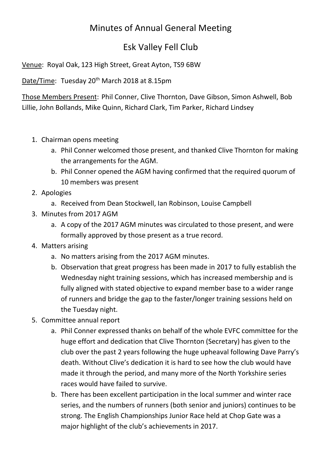## Minutes of Annual General Meeting

## Esk Valley Fell Club

Venue: Royal Oak, 123 High Street, Great Ayton, TS9 6BW

Date/Time: Tuesday 20<sup>th</sup> March 2018 at 8.15pm

Those Members Present: Phil Conner, Clive Thornton, Dave Gibson, Simon Ashwell, Bob Lillie, John Bollands, Mike Quinn, Richard Clark, Tim Parker, Richard Lindsey

- 1. Chairman opens meeting
	- a. Phil Conner welcomed those present, and thanked Clive Thornton for making the arrangements for the AGM.
	- b. Phil Conner opened the AGM having confirmed that the required quorum of 10 members was present
- 2. Apologies
	- a. Received from Dean Stockwell, Ian Robinson, Louise Campbell
- 3. Minutes from 2017 AGM
	- a. A copy of the 2017 AGM minutes was circulated to those present, and were formally approved by those present as a true record.
- 4. Matters arising
	- a. No matters arising from the 2017 AGM minutes.
	- b. Observation that great progress has been made in 2017 to fully establish the Wednesday night training sessions, which has increased membership and is fully aligned with stated objective to expand member base to a wider range of runners and bridge the gap to the faster/longer training sessions held on the Tuesday night.
- 5. Committee annual report
	- a. Phil Conner expressed thanks on behalf of the whole EVFC committee for the huge effort and dedication that Clive Thornton (Secretary) has given to the club over the past 2 years following the huge upheaval following Dave Parry's death. Without Clive's dedication it is hard to see how the club would have made it through the period, and many more of the North Yorkshire series races would have failed to survive.
	- b. There has been excellent participation in the local summer and winter race series, and the numbers of runners (both senior and juniors) continues to be strong. The English Championships Junior Race held at Chop Gate was a major highlight of the club's achievements in 2017.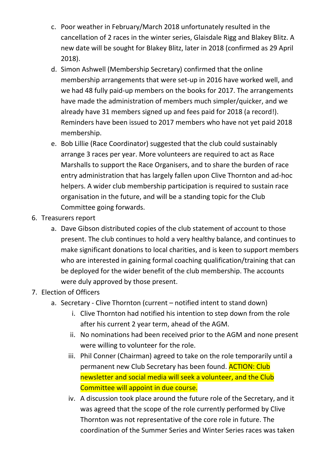- c. Poor weather in February/March 2018 unfortunately resulted in the cancellation of 2 races in the winter series, Glaisdale Rigg and Blakey Blitz. A new date will be sought for Blakey Blitz, later in 2018 (confirmed as 29 April 2018).
- d. Simon Ashwell (Membership Secretary) confirmed that the online membership arrangements that were set-up in 2016 have worked well, and we had 48 fully paid-up members on the books for 2017. The arrangements have made the administration of members much simpler/quicker, and we already have 31 members signed up and fees paid for 2018 (a record!). Reminders have been issued to 2017 members who have not yet paid 2018 membership.
- e. Bob Lillie (Race Coordinator) suggested that the club could sustainably arrange 3 races per year. More volunteers are required to act as Race Marshalls to support the Race Organisers, and to share the burden of race entry administration that has largely fallen upon Clive Thornton and ad-hoc helpers. A wider club membership participation is required to sustain race organisation in the future, and will be a standing topic for the Club Committee going forwards.
- 6. Treasurers report
	- a. Dave Gibson distributed copies of the club statement of account to those present. The club continues to hold a very healthy balance, and continues to make significant donations to local charities, and is keen to support members who are interested in gaining formal coaching qualification/training that can be deployed for the wider benefit of the club membership. The accounts were duly approved by those present.
- 7. Election of Officers
	- a. Secretary Clive Thornton (current notified intent to stand down)
		- i. Clive Thornton had notified his intention to step down from the role after his current 2 year term, ahead of the AGM.
		- ii. No nominations had been received prior to the AGM and none present were willing to volunteer for the role.
		- iii. Phil Conner (Chairman) agreed to take on the role temporarily until a permanent new Club Secretary has been found. **ACTION: Club** newsletter and social media will seek a volunteer, and the Club Committee will appoint in due course.
		- iv. A discussion took place around the future role of the Secretary, and it was agreed that the scope of the role currently performed by Clive Thornton was not representative of the core role in future. The coordination of the Summer Series and Winter Series races was taken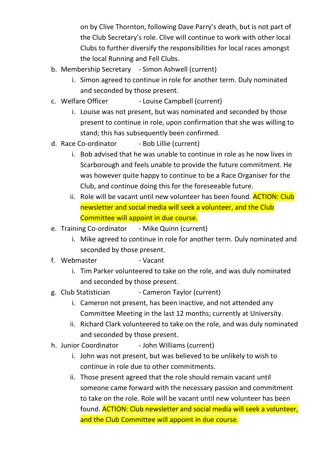on by Clive Thornton, following Dave Parry's death, but is not part of the Club Secretary's role. Clive will continue to work with other local Clubs to further diversify the responsibilities for local races amongst the local Running and Fell Clubs.

- b. Membership Secretary Simon Ashwell (current)
	- i. Simon agreed to continue in role for another term. Duly nominated and seconded by those present.
- c. Welfare Officer Louise Campbell (current)
	- i. Louise was not present, but was nominated and seconded by those present to continue in role, upon confirmation that she was willing to stand; this has subsequently been confirmed.
- d. Race Co-ordinator Bob Lillie (current)
	- i. Bob advised that he was unable to continue in role as he now lives in Scarborough and feels unable to provide the future commitment. He was however quite happy to continue to be a Race Organiser for the Club, and continue doing this for the foreseeable future.
	- ii. Role will be vacant until new volunteer has been found. **ACTION: Club** newsletter and social media will seek a volunteer, and the Club Committee will appoint in due course.
- e. Training Co-ordinator Mike Quinn (current)
	- i. Mike agreed to continue in role for another term. Duly nominated and seconded by those present.
- f. Webmaster  **Vacant** 
	- i. Tim Parker volunteered to take on the role, and was duly nominated and seconded by those present.
- g. Club Statistician Cameron Taylor (current)
	- i. Cameron not present, has been inactive, and not attended any Committee Meeting in the last 12 months; currently at University.
	- ii. Richard Clark volunteered to take on the role, and was duly nominated and seconded by those present.
- h. Junior Coordinator John Williams (current)
	- i. John was not present, but was believed to be unlikely to wish to continue in role due to other commitments.
	- ii. Those present agreed that the role should remain vacant until someone came forward with the necessary passion and commitment to take on the role. Role will be vacant until new volunteer has been found. ACTION: Club newsletter and social media will seek a volunteer, and the Club Committee will appoint in due course.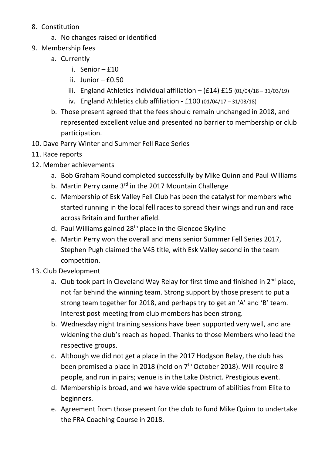- 8. Constitution
	- a. No changes raised or identified
- 9. Membership fees
	- a. Currently
		- i. Senior £10
		- ii. Junior  $-$  £0.50
		- iii. England Athletics individual affiliation  $-$  (£14) £15 (01/04/18 31/03/19)
		- iv. England Athletics club affiliation  $£100(01/04/17 31/03/18)$
	- b. Those present agreed that the fees should remain unchanged in 2018, and represented excellent value and presented no barrier to membership or club participation.
- 10. Dave Parry Winter and Summer Fell Race Series
- 11. Race reports
- 12. Member achievements
	- a. Bob Graham Round completed successfully by Mike Quinn and Paul Williams
	- b. Martin Perry came 3<sup>rd</sup> in the 2017 Mountain Challenge
	- c. Membership of Esk Valley Fell Club has been the catalyst for members who started running in the local fell races to spread their wings and run and race across Britain and further afield.
	- d. Paul Williams gained 28<sup>th</sup> place in the Glencoe Skyline
	- e. Martin Perry won the overall and mens senior Summer Fell Series 2017, Stephen Pugh claimed the V45 title, with Esk Valley second in the team competition.
- 13. Club Development
	- a. Club took part in Cleveland Way Relay for first time and finished in  $2^{nd}$  place, not far behind the winning team. Strong support by those present to put a strong team together for 2018, and perhaps try to get an 'A' and 'B' team. Interest post-meeting from club members has been strong.
	- b. Wednesday night training sessions have been supported very well, and are widening the club's reach as hoped. Thanks to those Members who lead the respective groups.
	- c. Although we did not get a place in the 2017 Hodgson Relay, the club has been promised a place in 2018 (held on  $7<sup>th</sup>$  October 2018). Will require 8 people, and run in pairs; venue is in the Lake District. Prestigious event.
	- d. Membership is broad, and we have wide spectrum of abilities from Elite to beginners.
	- e. Agreement from those present for the club to fund Mike Quinn to undertake the FRA Coaching Course in 2018.